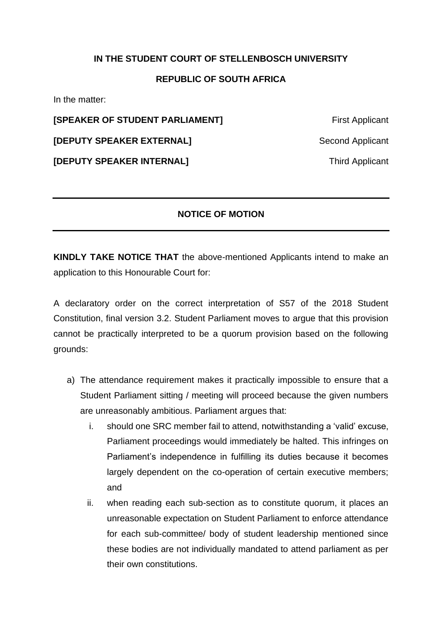## **IN THE STUDENT COURT OF STELLENBOSCH UNIVERSITY**

## **REPUBLIC OF SOUTH AFRICA**

In the matter:

**[SPEAKER OF STUDENT PARLIAMENT]** First Applicant

**[DEPUTY SPEAKER EXTERNAL]** Second Applicant

**[DEPUTY SPEAKER INTERNAL]** Third Applicant

## **NOTICE OF MOTION**

**KINDLY TAKE NOTICE THAT** the above-mentioned Applicants intend to make an application to this Honourable Court for:

A declaratory order on the correct interpretation of S57 of the 2018 Student Constitution, final version 3.2. Student Parliament moves to argue that this provision cannot be practically interpreted to be a quorum provision based on the following grounds:

- a) The attendance requirement makes it practically impossible to ensure that a Student Parliament sitting / meeting will proceed because the given numbers are unreasonably ambitious. Parliament argues that:
	- i. should one SRC member fail to attend, notwithstanding a 'valid' excuse, Parliament proceedings would immediately be halted. This infringes on Parliament's independence in fulfilling its duties because it becomes largely dependent on the co-operation of certain executive members; and
	- ii. when reading each sub-section as to constitute quorum, it places an unreasonable expectation on Student Parliament to enforce attendance for each sub-committee/ body of student leadership mentioned since these bodies are not individually mandated to attend parliament as per their own constitutions.